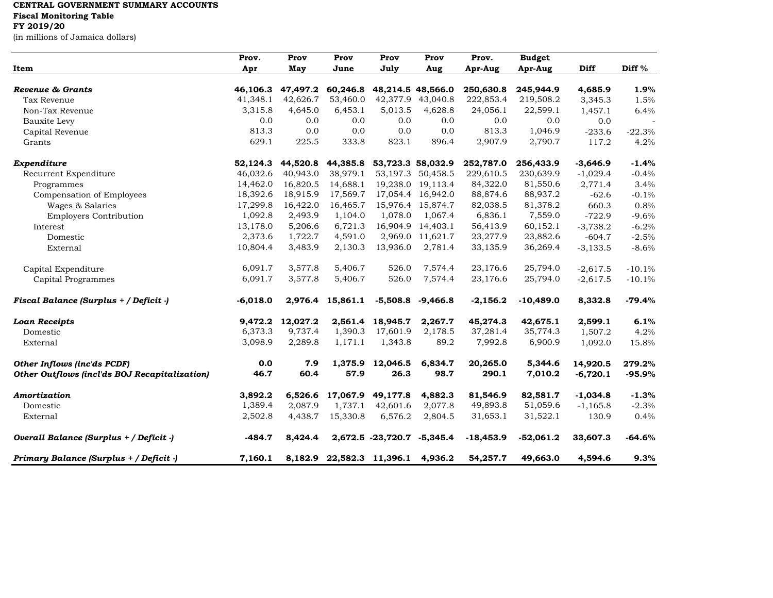## **CENTRAL GOVERNMENT SUMMARY ACCOUNTS Fiscal Monitoring Table**

## **FY 2019/20**

(in millions of Jamaica dollars)

|                                               | Prov.      | Prov     | Prov                      | Prov                       | Prov              | Prov.       | <b>Budget</b> |             |          |
|-----------------------------------------------|------------|----------|---------------------------|----------------------------|-------------------|-------------|---------------|-------------|----------|
| Item                                          | Apr        | May      | June                      | July                       | Aug               | Apr-Aug     | Apr-Aug       | <b>Diff</b> | Diff %   |
| Revenue & Grants                              | 46,106.3   | 47,497.2 | 60,246.8                  |                            | 48,214.5 48,566.0 | 250,630.8   | 245,944.9     | 4,685.9     | 1.9%     |
| Tax Revenue                                   | 41,348.1   | 42,626.7 | 53,460.0                  | 42,377.9                   | 43,040.8          | 222,853.4   | 219,508.2     | 3,345.3     | 1.5%     |
| Non-Tax Revenue                               | 3,315.8    | 4,645.0  | 6,453.1                   | 5,013.5                    | 4,628.8           | 24,056.1    | 22,599.1      | 1,457.1     | 6.4%     |
| Bauxite Levy                                  | 0.0        | 0.0      | 0.0                       | 0.0                        | 0.0               | 0.0         | 0.0           | 0.0         |          |
| Capital Revenue                               | 813.3      | 0.0      | 0.0                       | 0.0                        | 0.0               | 813.3       | 1,046.9       | $-233.6$    | $-22.3%$ |
| Grants                                        | 629.1      | 225.5    | 333.8                     | 823.1                      | 896.4             | 2,907.9     | 2,790.7       | 117.2       | 4.2%     |
| Expenditure                                   | 52,124.3   | 44,520.8 | 44,385.8                  |                            | 53,723.3 58,032.9 | 252,787.0   | 256,433.9     | $-3,646.9$  | $-1.4%$  |
| Recurrent Expenditure                         | 46.032.6   | 40.943.0 | 38,979.1                  |                            | 53,197.3 50,458.5 | 229,610.5   | 230,639.9     | $-1,029.4$  | $-0.4%$  |
| Programmes                                    | 14,462.0   | 16,820.5 | 14,688.1                  |                            | 19,238.0 19,113.4 | 84,322.0    | 81,550.6      | 2,771.4     | 3.4%     |
| Compensation of Employees                     | 18,392.6   | 18,915.9 | 17,569.7                  |                            | 17,054.4 16,942.0 | 88,874.6    | 88,937.2      | $-62.6$     | $-0.1%$  |
| Wages & Salaries                              | 17,299.8   | 16,422.0 | 16,465.7                  |                            | 15,976.4 15,874.7 | 82,038.5    | 81,378.2      | 660.3       | 0.8%     |
| <b>Employers Contribution</b>                 | 1,092.8    | 2,493.9  | 1,104.0                   | 1,078.0                    | 1,067.4           | 6,836.1     | 7,559.0       | $-722.9$    | $-9.6%$  |
| Interest                                      | 13,178.0   | 5,206.6  | 6,721.3                   | 16,904.9                   | 14,403.1          | 56,413.9    | 60,152.1      | $-3,738.2$  | $-6.2%$  |
| Domestic                                      | 2,373.6    | 1,722.7  | 4,591.0                   |                            | 2,969.0 11,621.7  | 23,277.9    | 23,882.6      | $-604.7$    | $-2.5%$  |
| External                                      | 10,804.4   | 3,483.9  | 2,130.3                   | 13,936.0                   | 2,781.4           | 33,135.9    | 36,269.4      | $-3,133.5$  | $-8.6%$  |
| Capital Expenditure                           | 6,091.7    | 3,577.8  | 5,406.7                   | 526.0                      | 7,574.4           | 23,176.6    | 25,794.0      | $-2,617.5$  | $-10.1%$ |
| Capital Programmes                            | 6,091.7    | 3,577.8  | 5,406.7                   | 526.0                      | 7,574.4           | 23,176.6    | 25,794.0      | $-2,617.5$  | $-10.1%$ |
| Fiscal Balance (Surplus + / Deficit -)        | $-6,018.0$ |          | 2,976.4 15,861.1          | $-5,508.8$                 | $-9,466.8$        | $-2,156.2$  | $-10,489.0$   | 8,332.8     | $-79.4%$ |
| <b>Loan Receipts</b>                          | 9.472.2    | 12,027.2 |                           | 2,561.4 18,945.7           | 2,267.7           | 45,274.3    | 42,675.1      | 2,599.1     | 6.1%     |
| Domestic                                      | 6,373.3    | 9,737.4  | 1,390.3                   | 17,601.9                   | 2,178.5           | 37,281.4    | 35,774.3      | 1,507.2     | 4.2%     |
| External                                      | 3,098.9    | 2,289.8  | 1,171.1                   | 1,343.8                    | 89.2              | 7,992.8     | 6,900.9       | 1,092.0     | 15.8%    |
| Other Inflows (inc'ds PCDF)                   | 0.0        | 7.9      | 1,375.9                   | 12,046.5                   | 6,834.7           | 20,265.0    | 5,344.6       | 14,920.5    | 279.2%   |
| Other Outflows (incl'ds BOJ Recapitalization) | 46.7       | 60.4     | 57.9                      | 26.3                       | 98.7              | 290.1       | 7,010.2       | $-6,720.1$  | $-95.9%$ |
| Amortization                                  | 3,892.2    | 6.526.6  | 17,067.9                  | 49,177.8                   | 4,882.3           | 81,546.9    | 82,581.7      | $-1,034.8$  | $-1.3%$  |
| Domestic                                      | 1,389.4    | 2,087.9  | 1,737.1                   | 42,601.6                   | 2,077.8           | 49,893.8    | 51,059.6      | $-1,165.8$  | $-2.3%$  |
| External                                      | 2,502.8    | 4,438.7  | 15,330.8                  | 6,576.2                    | 2,804.5           | 31,653.1    | 31,522.1      | 130.9       | 0.4%     |
| Overall Balance (Surplus + / Deficit -)       | $-484.7$   | 8,424.4  |                           | 2,672.5 -23,720.7 -5,345.4 |                   | $-18,453.9$ | $-52,061.2$   | 33,607.3    | $-64.6%$ |
| Primary Balance (Surplus + / Deficit -)       | 7,160.1    |          | 8,182.9 22,582.3 11,396.1 |                            | 4,936.2           | 54,257.7    | 49,663.0      | 4,594.6     | 9.3%     |